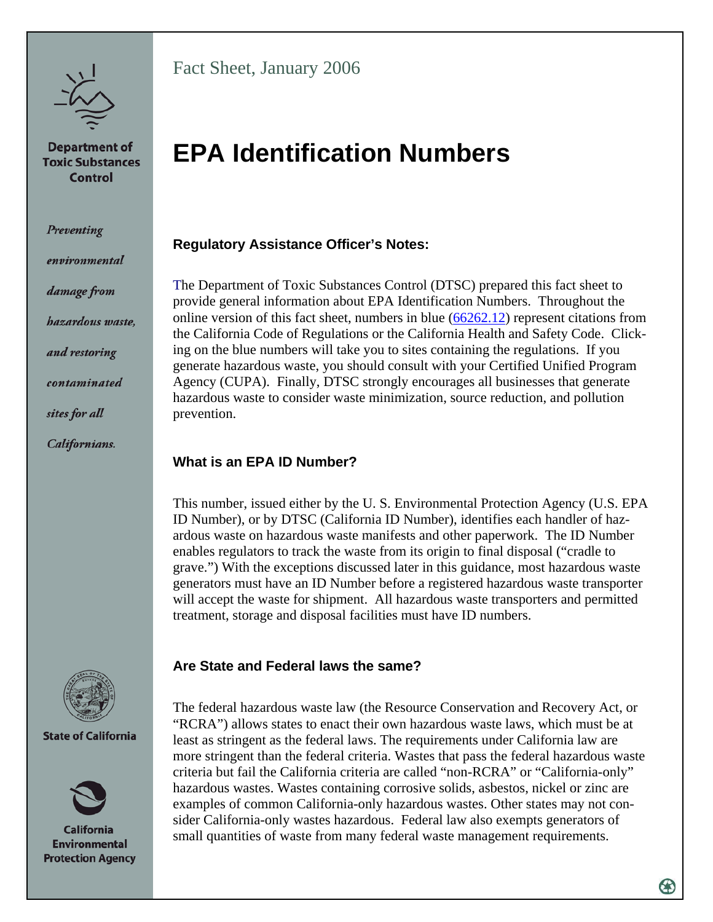

**Department of Toxic Substances** Control

Preventing

environmental

damage from

*hazardous waste,* 

and restoring

contaminated

sites for all

Californians.



**State of California** 



**California Environmental Protection Agency** 

Fact Sheet, January 2006

# **EPA Identification Numbers**

# **Regulatory Assistance Officer's Notes:**

The Department of Toxic Substances Control (DTSC) prepared this fact sheet to provide general information about EPA Identification Numbers. Throughout the online version of this fact sheet, numbers in blue  $(66262.12)$  $(66262.12)$  represent citations from the California Code of Regulations or the California Health and Safety Code. Clicking on the blue numbers will take you to sites containing the regulations. If you generate hazardous waste, you should consult with your Certified Unified Program Agency (CUPA). Finally, DTSC strongly encourages all businesses that generate hazardous waste to consider waste minimization, source reduction, and pollution prevention.

# **What is an EPA ID Number?**

This number, issued either by the U. S. Environmental Protection Agency (U.S. EPA ID Number), or by DTSC (California ID Number), identifies each handler of hazardous waste on hazardous waste manifests and other paperwork. The ID Number enables regulators to track the waste from its origin to final disposal ("cradle to grave.") With the exceptions discussed later in this guidance, most hazardous waste generators must have an ID Number before a registered hazardous waste transporter will accept the waste for shipment. All hazardous waste transporters and permitted treatment, storage and disposal facilities must have ID numbers.

## **Are State and Federal laws the same?**

The federal hazardous waste law (the Resource Conservation and Recovery Act, or "RCRA") allows states to enact their own hazardous waste laws, which must be at least as stringent as the federal laws. The requirements under California law are more stringent than the federal criteria. Wastes that pass the federal hazardous waste criteria but fail the California criteria are called "non-RCRA" or "California-only" hazardous wastes. Wastes containing corrosive solids, asbestos, nickel or zinc are examples of common California-only hazardous wastes. Other states may not consider California-only wastes hazardous. Federal law also exempts generators of small quantities of waste from many federal waste management requirements.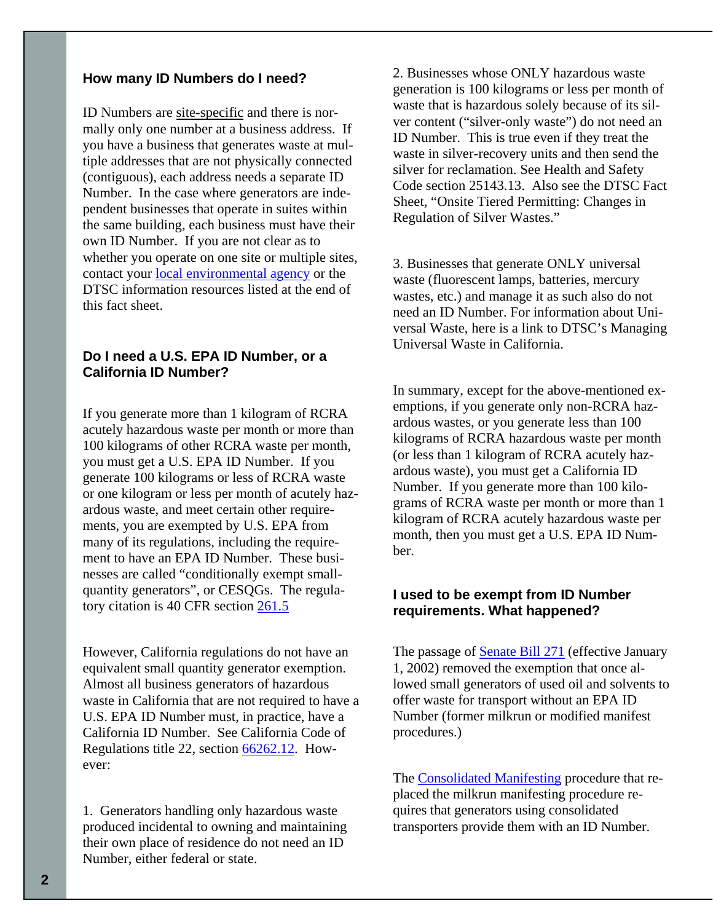#### **How many ID Numbers do I need?**

ID Numbers are site-specific and there is normally only one number at a business address. If you have a business that generates waste at multiple addresses that are not physically connected (contiguous), each address needs a separate ID Number. In the case where generators are independent businesses that operate in suites within the same building, each business must have their own ID Number. If you are not clear as to whether you operate on one site or multiple sites, contact your [local environmental agency](http://www.dtsc.ca.gov/InformationResources/local_contacts.cfm) or the DTSC information resources listed at the end of this fact sheet.

#### **Do I need a U.S. EPA ID Number, or a California ID Number?**

If you generate more than 1 kilogram of RCRA acutely hazardous waste per month or more than 100 kilograms of other RCRA waste per month, you must get a U.S. EPA ID Number. If you generate 100 kilograms or less of RCRA waste or one kilogram or less per month of acutely hazardous waste, and meet certain other requirements, you are exempted by U.S. EPA from many of its regulations, including the requirement to have an EPA ID Number. These businesses are called "conditionally exempt smallquantity generators", or CESQGs. The regula-tory citation is 40 CFR section [261.5](http://www.gpoaccess.gov/cfr/retrieve.html)

However, California regulations do not have an equivalent small quantity generator exemption. Almost all business generators of hazardous waste in California that are not required to have a U.S. EPA ID Number must, in practice, have a California ID Number. See California Code of Regulations title 22, section [66262.12](http://www.dtsc.ca.gov/LawsRegsPolicies/Title22/index.cfm). However:

1. Generators handling only hazardous waste produced incidental to owning and maintaining their own place of residence do not need an ID Number, either federal or state.

2. Businesses whose ONLY hazardous waste generation is 100 kilograms or less per month of waste that is hazardous solely because of its silver content ("silver-only waste") do not need an ID Number. This is true even if they treat the waste in silver-recovery units and then send the silver for reclamation. See Health and Safety Code section [25143.13.](http://www.leginfo.ca.gov/calaw.html) Also see the DTSC Fact Sheet, "[Onsite Tiered Permitting: Changes in](http://www.dtsc.ca.gov/HazardousWaste/upload/HWM_FS_SB2111.pdf)  [Regulation of Silver Wastes.](http://www.dtsc.ca.gov/HazardousWaste/upload/HWM_FS_SB2111.pdf)"

3. Businesses that generate ONLY universal waste (fluorescent lamps, batteries, mercury wastes, etc.) and manage it as such also do not need an ID Number. For information about Universal Waste, here is a link to DTSC's [Managing](http://www.dtsc.ca.gov/HazardousWaste/EWaste/upload/HWM_FS_UWR.pdf)  [Universal Waste in California.](http://www.dtsc.ca.gov/HazardousWaste/EWaste/upload/HWM_FS_UWR.pdf)

In summary, except for the above-mentioned exemptions, if you generate only non-RCRA hazardous wastes, or you generate less than 100 kilograms of RCRA hazardous waste per month (or less than 1 kilogram of RCRA acutely hazardous waste), you must get a California ID Number. If you generate more than 100 kilograms of RCRA waste per month or more than 1 kilogram of RCRA acutely hazardous waste per month, then you must get a U.S. EPA ID Number.

#### **I used to be exempt from ID Number requirements. What happened?**

The passage of **[Senate Bill 271](http://www.leginfo.ca.gov/bilinfo.html)** (effective January 1, 2002) removed the exemption that once allowed small generators of used oil and solvents to offer waste for transport without an EPA ID Number (former milkrun or modified manifest procedures.)

The [Consolidated Manifesting](http://www.dtsc.ca.gov/HazardousWaste/Transporters/upload/HWMP_FS_SB271.pdf) procedure that replaced the milkrun manifesting procedure requires that generators using consolidated transporters provide them with an ID Number.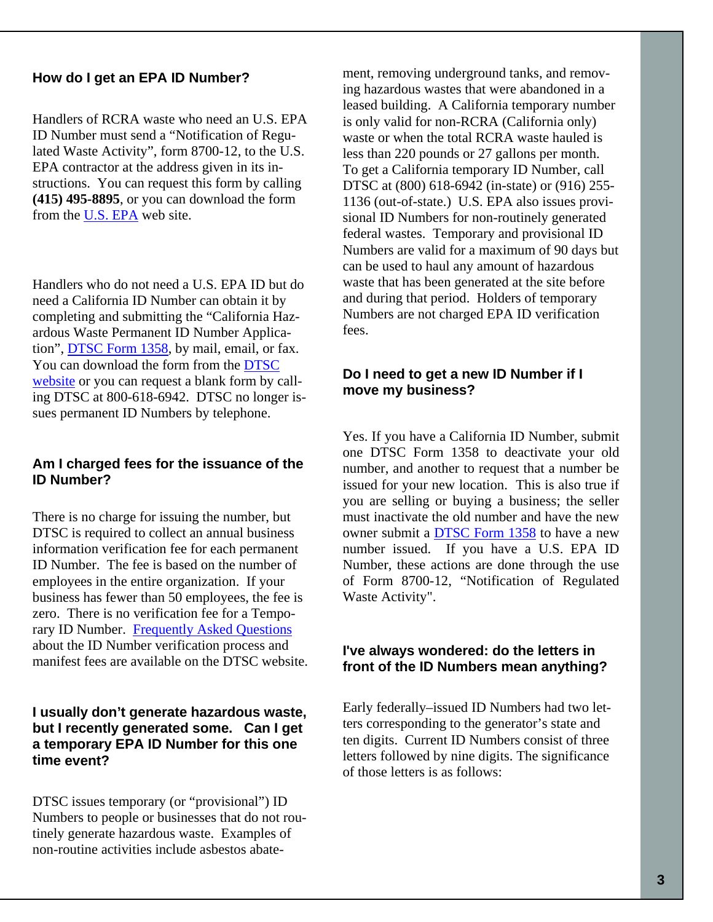#### **How do I get an EPA ID Number?**

Handlers of RCRA waste who need an U.S. EPA ID Number must send a "Notification of Regulated Waste Activity", form 8700-12, to the U.S. EPA contractor at the address given in its instructions. You can request this form by calling **(415) 495-8895**, or you can download the form from the [U.S. EPA](http://www.epa.gov/epaoswer/hazwaste/data/form8700/8700-12.pdf) web site.

Handlers who do not need a U.S. EPA ID but do need a California ID Number can obtain it by completing and submitting the "California Hazardous Waste Permanent ID Number Application", [DTSC Form 1358,](http://www.dtsc.ca.gov/HazardousWaste/upload/GISS_FORM_1358.pdf) by mail, email, or fax. You can download the form from the [DTSC](http://www.dtsc.ca.gov/HazardousWaste/upload/GISS_FORM_1358.pdf)  [website](http://www.dtsc.ca.gov/HazardousWaste/upload/GISS_FORM_1358.pdf) or you can request a blank form by calling DTSC at 800-618-6942. DTSC no longer issues permanent ID Numbers by telephone.

#### **Am I charged fees for the issuance of the ID Number?**

There is no charge for issuing the number, but DTSC is required to collect an annual business information verification fee for each permanent ID Number. The fee is based on the number of employees in the entire organization. If your business has fewer than 50 employees, the fee is zero. There is no verification fee for a Temporary ID Number. [Frequently Asked Questions](http://www.dtsc.ca.gov/HazardousWaste/upload/GISS_FAQ_VQ.pdf)  about the ID Number verification process and manifest fees are available on the DTSC website.

#### **I usually don't generate hazardous waste, but I recently generated some. Can I get a temporary EPA ID Number for this one time event?**

DTSC issues temporary (or "provisional") ID Numbers to people or businesses that do not routinely generate hazardous waste. Examples of non-routine activities include asbestos abatement, removing underground tanks, and removing hazardous wastes that were abandoned in a leased building. A California temporary number is only valid for non-RCRA (California only) waste or when the total RCRA waste hauled is less than 220 pounds or 27 gallons per month. To get a California temporary ID Number, call DTSC at (800) 618-6942 (in-state) or (916) 255- 1136 (out-of-state.) U.S. EPA also issues provisional ID Numbers for non-routinely generated federal wastes. Temporary and provisional ID Numbers are valid for a maximum of 90 days but can be used to haul any amount of hazardous waste that has been generated at the site before and during that period. Holders of temporary Numbers are not charged EPA ID verification fees.

#### **Do I need to get a new ID Number if I move my business?**

Yes. If you have a California ID Number, submit one DTSC Form 1358 to deactivate your old number, and another to request that a number be issued for your new location. This is also true if you are selling or buying a business; the seller must inactivate the old number and have the new owner submit a [DTSC Form 1358](http://www.dtsc.ca.gov/HazardousWaste/upload/GISS_FORM_1358.pdf) to have a new number issued. If you have a U.S. EPA ID Number, these actions are done through the use of Form 8700-12, "Notification of Regulated Waste Activity".

#### **I've always wondered: do the letters in front of the ID Numbers mean anything?**

Early federally–issued ID Numbers had two letters corresponding to the generator's state and ten digits. Current ID Numbers consist of three letters followed by nine digits. The significance of those letters is as follows: